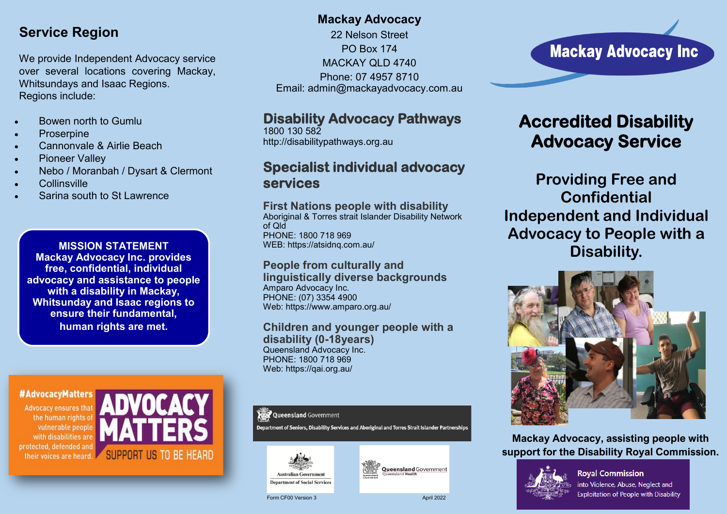## **Service Region**

We provide Independent Advocacy service over several locations covering Mackay, Whitsundays and Isaac Regions. Regions include:

- Bowen north to Gumlu
- **Proserpine**
- Cannonvale & Airlie Beach
- Pioneer Valley
- Nebo / Moranbah / Dysart & Clermont
- Collinsville
- Sarina south to St Lawrence

**MISSION STATEMENT Mackay Advocacy Inc. provides free, confidential, individual advocacy and assistance to people with a disability in Mackay, Whitsunday and Isaac regions to ensure their fundamental, human rights are met.**

### #AdvocacyMatters

**Advocacy ensures that** the human rights of vulnerable people with disabilities are protected, defended and their voices are heard.



## **Mackay Advocacy**

22 Nelson Street PO Box 174 MACKAY OLD 4740 Phone: 07 4957 8710 Email: admin@mackayadvocacy.com.au

## **Disability Advocacy Pathways**

1800 130 582 http://disabilitypathways.org.au

## **Specialist individual advocacy services**

### **First Nations people with disability**

Aboriginal & Torres strait Islander Disability Network of Qld PHONE: 1800 718 969 WEB: https://atsidnq.com.au/

### **People from culturally and linguistically diverse backgrounds** Amparo Advocacy Inc.

PHONE: (07) 3354 4900 Web: https://www.amparo.org.au/

#### **Children and younger people with a disability (0-18years)** Queensland Advocacy Inc. PHONE: 1800 718 969 Web: https://qai.org.au/

#### **Queensland Government**

Department of Seniors, Disability Services and Aboriginal and Torres Strait Islander Partnerships



**Department of Social Services** 



Form CF00 Version 3 April 2022

# **Mackay Advocacy Inc**

# **Accredited Disability Advocacy Service**

**Providing Free and Confidential Independent and Individual Advocacy to People with a Disability.**



**Mackay Advocacy, assisting people with support for the Disability Royal Commission.** 



**Royal Commission** into Violence, Abuse, Neglect and **Exploitation of People with Disability**